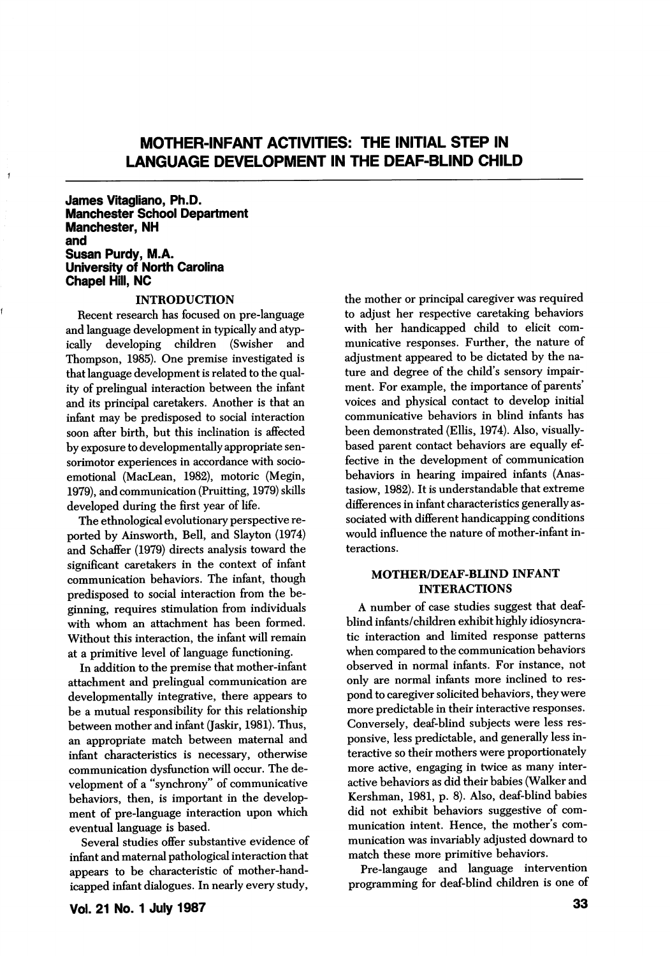# MOTHER-INFANT ACTIVITIES: THE INITIAL STEP IN LANGUAGE DEVELOPMENT IN THE DEAF-BLIND CHILD

James Vitagliano, Ph.D. Manchester School Department Manchester, NH and Susan Purdy, M.A. University of North Caroiina Chapei Hiil, NC

#### INTRODUCTION

Recent research has focused on pre-language and language development in typically and atypically developing children (Swisher and Thompson, 1985). One premise investigated is that language development is related to the qual ity of prelingual interaction between the infant and its principal caretakers. Another is that an infant may be predisposed to social interaction soon after birth, but this inclination is affected by exposure to developmentally appropriate sensorimotor experiences in accordance with socioemotional (MacLean, 1982), motoric (Megin, 1979), and communication (Pruitting, 1979) skills developed during the first year of life.

The ethnological evolutionary perspective re ported by Ainsworth, Bell, and Slayton (1974) and Schaffer (1979) directs analysis toward the significant caretakers in the context of infant communication behaviors. The infant, though predisposed to social interaction from the be ginning, requires stimulation from individuals with whom an attachment has been formed. Without this interaction, the infant will remain at a primitive level of language functioning.

In addition to the premise that mother-infant attachment and prelingual communication are developmentally integrative, there appears to be a mutual responsibility for this relationship between mother and infant (Jaskir, 1981). Thus, an appropriate match between maternal and infant characteristics is necessary, otherwise communication dysfunction will occur. The de velopment of a "synchrony" of communicative behaviors, then, is important in the develop ment of pre-language interaction upon which eventual language is based.

Several studies offer substantive evidence of infant and maternal pathological interaction that appears to be characteristic of mother-hand icapped infant dialogues. In nearly every study. the mother or principal caregiver was required to adjust her respective caretaking behaviors with her handicapped child to elicit com municative responses. Further, the nature of adjustment appeared to be dictated by the na ture and degree of the child's sensory impair ment. For example, the importance of parents' voices and physical contact to develop initial communicative behaviors in blind infants has been demonstrated (Ellis, 1974). Also, visuallybased parent contact behaviors are equally ef fective in the development of communication behaviors in hearing impaired infants (Anastasiow, 1982). It is understandable that extreme differences in infant characteristics generally as sociated with different handicapping conditions would influence the nature of mother-infant in teractions.

#### MOTHER/DEAF-BUND INFANT INTERACTIONS

A number of case studies suggest that deafblind infants/children exhibit highly idiosyncra tic interaction and limited response patterns when compared to the communication behaviors observed in normal infants. For instance, not only are normal infants more inclined to res pond to caregiver solicited behaviors, they were more predictable in their interactive responses. Conversely, deaf-blind subjects were less res ponsive, less predictable, and generally less in teractive so their mothers were proportionately more active, engaging in twice as many inter active behaviors as did their babies (Walker and Kershman, 1981, p. 8). Also, deaf-blind babies did not exhibit behaviors suggestive of com munication intent. Hence, the mother's com munication was invariably adjusted downard to match these more primitive behaviors.

Pre-langauge and language intervention programming for deaf-blind children is one of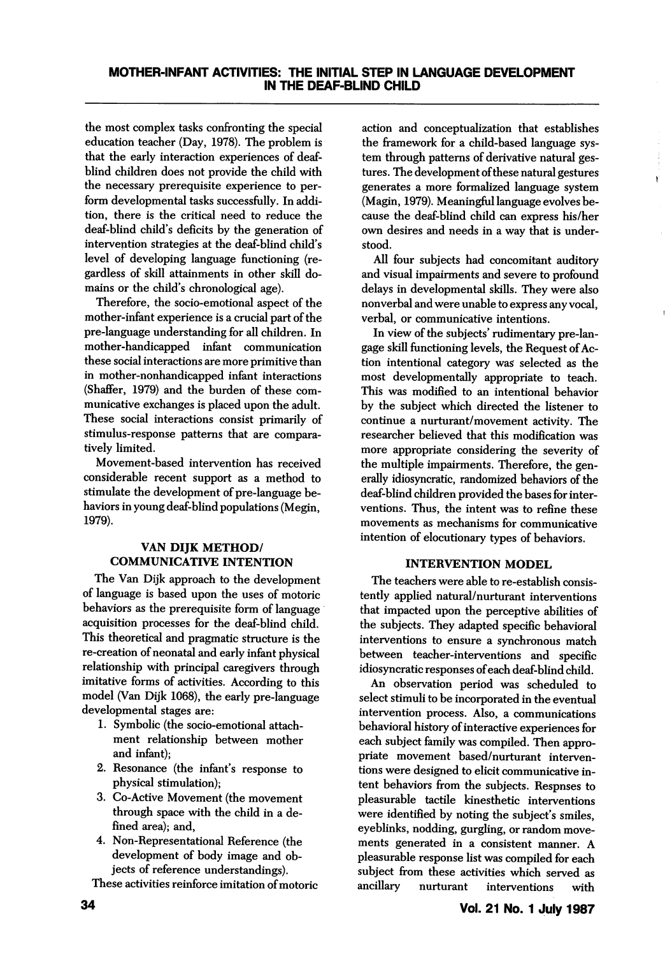the most complex tasks confronting the special education teacher (Day, 1978). The problem is that the early interaction experiences of deafblind children does not provide the child with the necessary prerequisite experience to per form developmental tasks successfully. In addi tion, there is the critical need to reduce the deaf-blind child's deficits by the generation of intervention strategies at the deaf-blind child's level of developing language functioning (re gardless of skill attainments in other skill do mains or the child's chronological age).

Therefore, the socio-emotional aspect of the mother-infant experience is a crucial part of the pre-language understanding for all children. In mother-handicapped infant communication these social interactions are more primitive than in mother-nonhandicapped infant interactions (Shaffer, 1979) and the burden of these communicative exchanges is placed upon the adult. These social interactions consist primarily of stimulus-response patterns that are compara tively limited.

Movement-based intervention has received considerable recent support as a method to stimulate the development of pre-language be haviors in young deaf-blind populations (Megin, 1979).

# VAN DIJK METHOD/ COMMUNICATIVE INTENTION

The Van Dijk approach to the development of language is based upon the uses of motoric behaviors as the prerequisite form of language acquisition processes for the deaf-blind child. This theoretical and pragmatic structure is the re-creation of neonatal and early infant physical relationship with principal caregivers through imitative forms of activities. According to this model (Van Dijk 1068), the early pre-language developmental stages are:

- 1. Symbolic (the socio-emotional attach ment relationship between mother and infant);
- 2. Resonance (the infant's response to physical stimulation);
- 3. Co-Active Movement (the movement through space with the child in a de fined area); and,
- 4. Non-Representational Reference (the development of body image and ob jects of reference understandings).

These activities reinforce imitation of motoric

action and conceptualization that establishes the framework for a child-based language sys tem through patterns of derivative natural ges tures. The development of these natural gestures generates a more formalized language system (Magin, 1979). Meaningful language evolves be cause the deaf-blind child can express his/her own desires and needs in a way that is under stood.

 $\mathbf{Y}$ 

All four subjects had concomitant auditory and visual impairments and severe to profound delays in developmental skills. They were also nonverbal and were unable to express any vocal, verbal, or communicative intentions.

In view of the subjects' rudimentary pre-langage skill functioning levels, the Request of Ac tion intentional category was selected as the most developmentally appropriate to teach. This was modified to an intentional behavior by the subject which directed the listener to continue a nurturant/movement activity. The researcher believed that this modification was more appropriate considering the severity of the multiple impairments. Therefore, the gen erally idiosyncratic, randomized behaviors of the deaf-blind children provided the bases for inter ventions. Thus, the intent was to refine these movements as mechanisms for communicative intention of elocutionary types of behaviors.

## INTERVENTION MODEL

The teachers were able to re-establish consis tently applied natural/nurturant interventions that impacted upon the perceptive abilities of the subjects. They adapted specific behavioral interventions to ensure a synchronous match between teacher-interventions and specific idiosyncratic responses of each deaf-blind child.

An observation period was scheduled to select stimuli to be incorporated in the eventual intervention process. Also, a communications behavioral history of interactive experiences for each subject family was compiled. Then appro priate movement based/nurturant interven tions were designed to elicit communicative in tent behaviors from the subjects. Respnses to pleasurable tactile kinesthetic interventions were identified by noting the subject's smiles, eyeblinks, nodding, gurgling, or random move ments generated in a consistent manner. A pleasurable response list was compiled for each subject from these activities which served as ancillary nurturant interventions with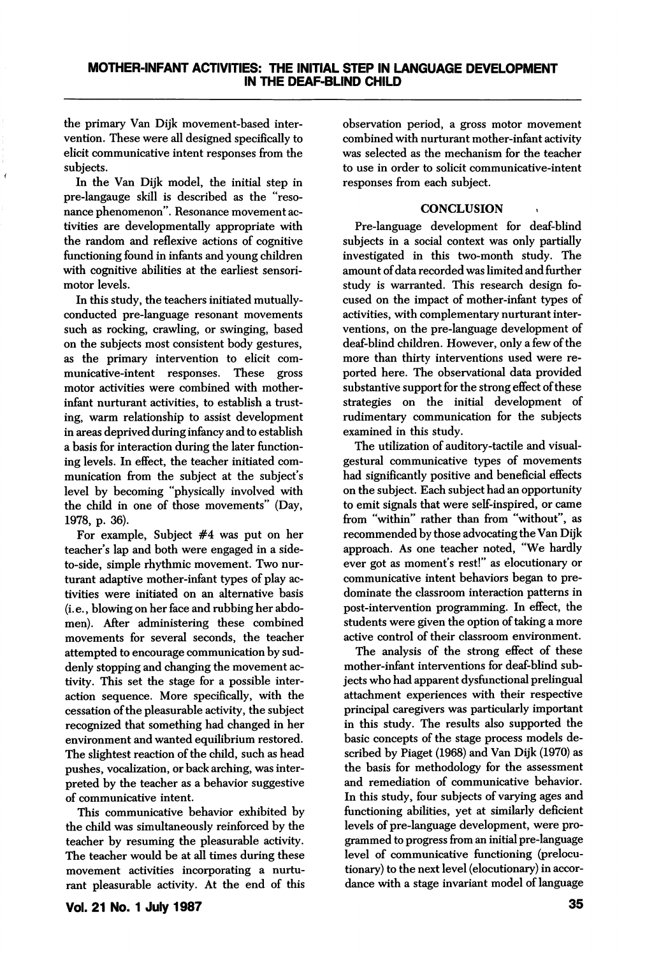the primary Van Dijk movement-based inter vention. These were all designed specifically to elicit communicative intent responses from the subjects.

In the Van Dijk model, the initial step in pre-langauge skill is described as the "reso nance phenomenon". Resonance movement ac tivities are developmentally appropriate with the random and reflexive actions of cognitive functioning found in infants and young children with cognitive abilities at the earliest sensorimotor levels.

In this study, the teachers initiated mutuallyconducted pre-language resonant movements such as rocking, crawling, or swinging, based on the subjects most consistent body gestures, as the primary intervention to elicit com municative-intent responses. These gross motor activities were combined with motherinfant nurturant activities, to establish a trust ing, warm relationship to assist development in areas deprived during infancy and to establish a basis for interaction during the later function ing levels. In effect, the teacher initiated com munication from the subject at the subject's level by becoming "physically involved with the child in one of those movements" (Day, 1978, p. 36).

For example. Subject #4 was put on her teacher's lap and both were engaged in a sideto-side, simple rhythmic movement. Two nur turant adaptive mother-infant types of play ac tivities were initiated on an alternative basis (i.e., blowing on her face and rubbing her abdo men). After administering these combined movements for several seconds, the teacher attempted to encourage communication by sud denly stopping and changing the movement activity. This set the stage for a possible inter action sequence. More specifically, with the cessation of the pleasurable activity, the subject recognized that something had changed in her environment and wanted equilibrium restored. The slightest reaction of the child, such as head pushes, vocalization, or back arching, was inter preted by the teacher as a behavior suggestive of communicative intent.

This communicative behavior exhibited by the child was simultaneously reinforced by the teacher by resuming the pleasurable activity. The teacher would be at all times during these movement activities incorporating a nurtu rant pleasurable activity. At the end of this observation period, a gross motor movement combined with nurturant mother-infant activity was selected as the mechanism for the teacher to use in order to solicit communicative-intent responses from each subject.

### **CONCLUSION**

Pre-language development for deaf-blind subjects in a social context was only partially investigated in this two-month study. The amount of data recorded was limited and further study is warranted. This research design fo cused on the impact of mother-infant types of activities, with complementary nurturant inter ventions, on the pre-language development of deaf-blind children. However, only a few of the more than thirty interventions used were re ported here. The observational data provided substantive support for the strong effect of these strategies on the initial development of rudimentary communication for the subjects examined in this study.

The utilization of auditory-tactile and visualgestural communicative types of movements had significantly positive and beneficial effects on the subject. Each subject had an opportunity to emit signals that were self-inspired, or came from "within" rather than from "without", as recommended by those advocating the Van Dijk approach. As one teacher noted, "We hardly ever got as moment's rest!" as elocutionary or communicative intent behaviors began to pre dominate the classroom interaction patterns in post-intervention programming. In effect, the students were given the option of taking a more active control of their classroom environment.

The analysis of the strong effect of these mother-infant interventions for deaf-blind sub jects who had apparent dysfunctional prelingual attachment experiences with their respective principal caregivers was particularly important in this study. The results also supported the basic concepts of the stage process models de scribed by Piaget (1968) and Van Dijk (1970) as the basis for methodology for the assessment and remediation of communicative behavior. In this study, four subjects of varying ages and functioning abilities, yet at similarly deficient levels of pre-language development, were pro grammed to progress from an initial pre-language level of communicative functioning (prelocutionary) to the next level (elocutionary) in accor dance with a stage invariant model of language